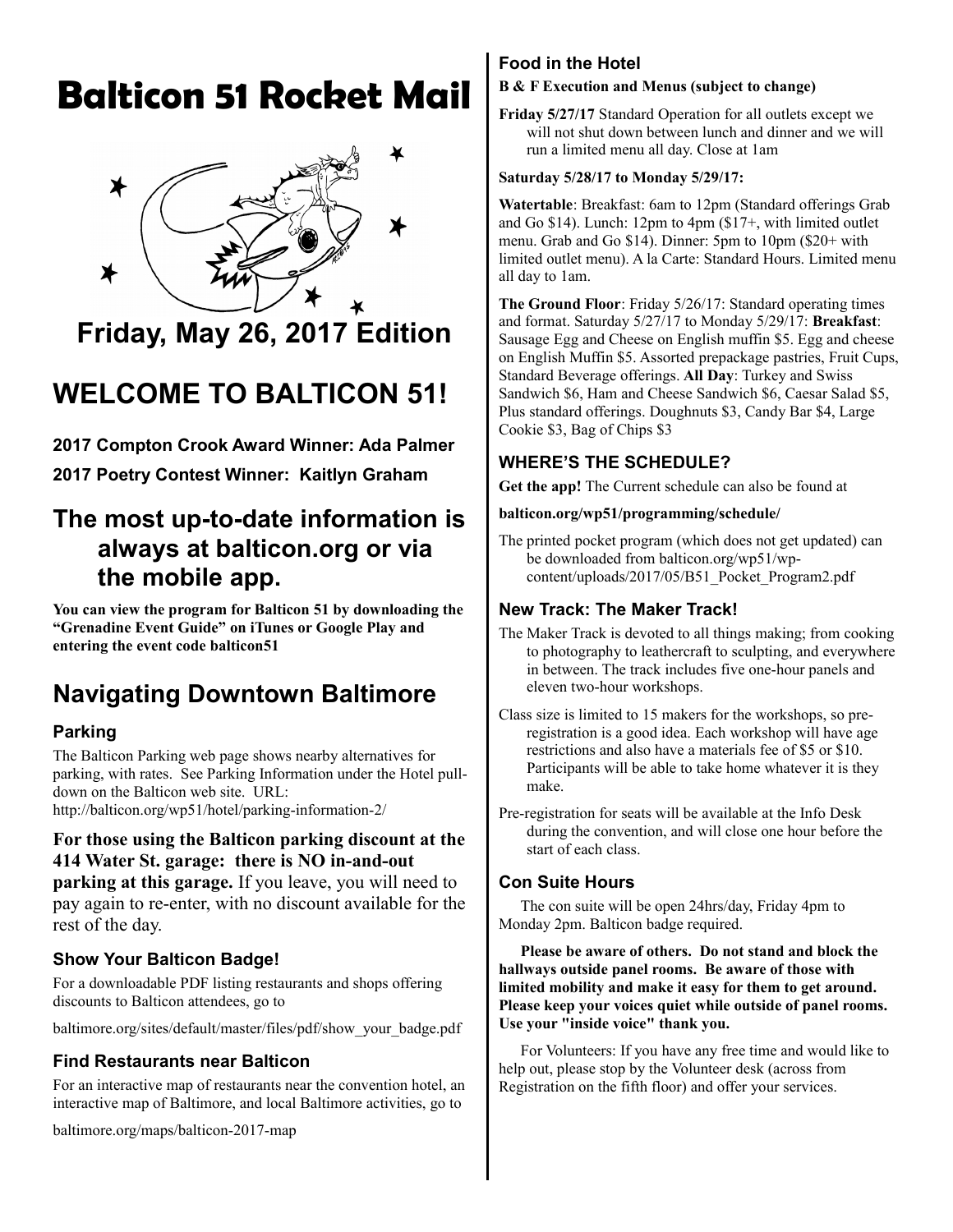# **Balticon 51 Rocket Mail**



# **Friday, May 26, 2017 Edition**

# **WELCOME TO BALTICON 51!**

**2017 Compton Crook Award Winner: Ada Palmer**

**2017 Poetry Contest Winner: Kaitlyn Graham**

## **The most up-to-date information is always at balticon.org or via the mobile app.**

**You can view the program for Balticon 51 by downloading the "Grenadine Event Guide" on iTunes or Google Play and entering the event code balticon51**

# **Navigating Downtown Baltimore**

#### **Parking**

The Balticon Parking web page shows nearby alternatives for parking, with rates. See Parking Information under the Hotel pulldown on the Balticon web site. URL:

http://balticon.org/wp51/hotel/parking-information-2/

#### **For those using the Balticon parking discount at the 414 Water St. garage: there is NO in-and-out**

**parking at this garage.** If you leave, you will need to pay again to re-enter, with no discount available for the rest of the day.

#### **Show Your Balticon Badge!**

For a downloadable PDF listing restaurants and shops offering discounts to Balticon attendees, go to

baltimore.org/sites/default/master/files/pdf/show\_your\_badge.pdf

#### **Find Restaurants near Balticon**

For an interactive map of restaurants near the convention hotel, an interactive map of Baltimore, and local Baltimore activities, go to

baltimore.org/maps/balticon-2017-map

#### **Food in the Hotel**

#### **B & F Execution and Menus (subject to change)**

**Friday 5/27/17** Standard Operation for all outlets except we will not shut down between lunch and dinner and we will run a limited menu all day. Close at 1am

#### **Saturday 5/28/17 to Monday 5/29/17:**

**Watertable**: Breakfast: 6am to 12pm (Standard offerings Grab and Go \$14). Lunch: 12pm to 4pm (\$17+, with limited outlet menu. Grab and Go \$14). Dinner: 5pm to 10pm (\$20+ with limited outlet menu). A la Carte: Standard Hours. Limited menu all day to 1am.

**The Ground Floor**: Friday 5/26/17: Standard operating times and format. Saturday 5/27/17 to Monday 5/29/17: **Breakfast**: Sausage Egg and Cheese on English muffin \$5. Egg and cheese on English Muffin \$5. Assorted prepackage pastries, Fruit Cups, Standard Beverage offerings. **All Day**: Turkey and Swiss Sandwich \$6, Ham and Cheese Sandwich \$6, Caesar Salad \$5, Plus standard offerings. Doughnuts \$3, Candy Bar \$4, Large Cookie \$3, Bag of Chips \$3

#### **WHERE'S THE SCHEDULE?**

**Get the app!** The Current schedule can also be found at

#### **balticon.org/wp51/programming/schedule/**

The printed pocket program (which does not get updated) can be downloaded from balticon.org/wp51/wpcontent/uploads/2017/05/B51\_Pocket\_Program2.pdf

#### **New Track: The Maker Track!**

- The Maker Track is devoted to all things making; from cooking to photography to leathercraft to sculpting, and everywhere in between. The track includes five one-hour panels and eleven two-hour workshops.
- Class size is limited to 15 makers for the workshops, so preregistration is a good idea. Each workshop will have age restrictions and also have a materials fee of \$5 or \$10. Participants will be able to take home whatever it is they make.
- Pre-registration for seats will be available at the Info Desk during the convention, and will close one hour before the start of each class.

#### **Con Suite Hours**

The con suite will be open 24hrs/day, Friday 4pm to Monday 2pm. Balticon badge required.

**Please be aware of others. Do not stand and block the hallways outside panel rooms. Be aware of those with limited mobility and make it easy for them to get around. Please keep your voices quiet while outside of panel rooms. Use your "inside voice" thank you.** 

For Volunteers: If you have any free time and would like to help out, please stop by the Volunteer desk (across from Registration on the fifth floor) and offer your services.